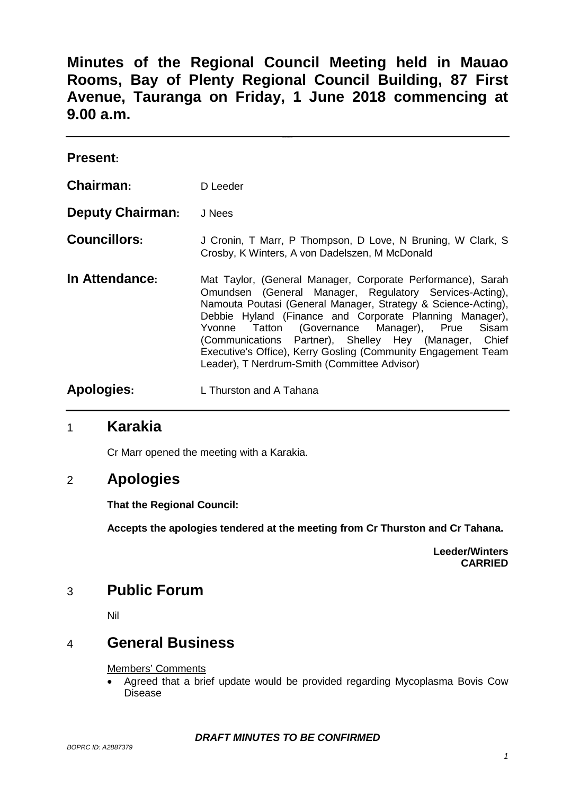**Minutes of the Regional Council Meeting held in Mauao Rooms, Bay of Plenty Regional Council Building, 87 First Avenue, Tauranga on Friday, 1 June 2018 commencing at 9.00 a.m.**

| <b>Present:</b>         |                                                                                                                                                                                                                                                                                                                                                                                                                                                                                      |
|-------------------------|--------------------------------------------------------------------------------------------------------------------------------------------------------------------------------------------------------------------------------------------------------------------------------------------------------------------------------------------------------------------------------------------------------------------------------------------------------------------------------------|
| Chairman:               | D Leeder                                                                                                                                                                                                                                                                                                                                                                                                                                                                             |
| <b>Deputy Chairman:</b> | J Nees                                                                                                                                                                                                                                                                                                                                                                                                                                                                               |
| <b>Councillors:</b>     | J Cronin, T Marr, P Thompson, D Love, N Bruning, W Clark, S<br>Crosby, K Winters, A von Dadelszen, M McDonald                                                                                                                                                                                                                                                                                                                                                                        |
| In Attendance:          | Mat Taylor, (General Manager, Corporate Performance), Sarah<br>Omundsen (General Manager, Regulatory Services-Acting),<br>Namouta Poutasi (General Manager, Strategy & Science-Acting),<br>Debbie Hyland (Finance and Corporate Planning Manager),<br>Tatton (Governance Manager), Prue<br>Sisam<br>Yvonne<br>(Communications Partner), Shelley Hey (Manager, Chief<br>Executive's Office), Kerry Gosling (Community Engagement Team<br>Leader), T Nerdrum-Smith (Committee Advisor) |
| Apologies:              | L Thurston and A Tahana                                                                                                                                                                                                                                                                                                                                                                                                                                                              |

### 1 **Karakia**

Cr Marr opened the meeting with a Karakia.

## 2 **Apologies**

**That the Regional Council:**

**Accepts the apologies tendered at the meeting from Cr Thurston and Cr Tahana.**

**Leeder/Winters CARRIED**

## 3 **Public Forum**

Nil

## 4 **General Business**

#### Members' Comments

• Agreed that a brief update would be provided regarding Mycoplasma Bovis Cow Disease

#### *DRAFT MINUTES TO BE CONFIRMED*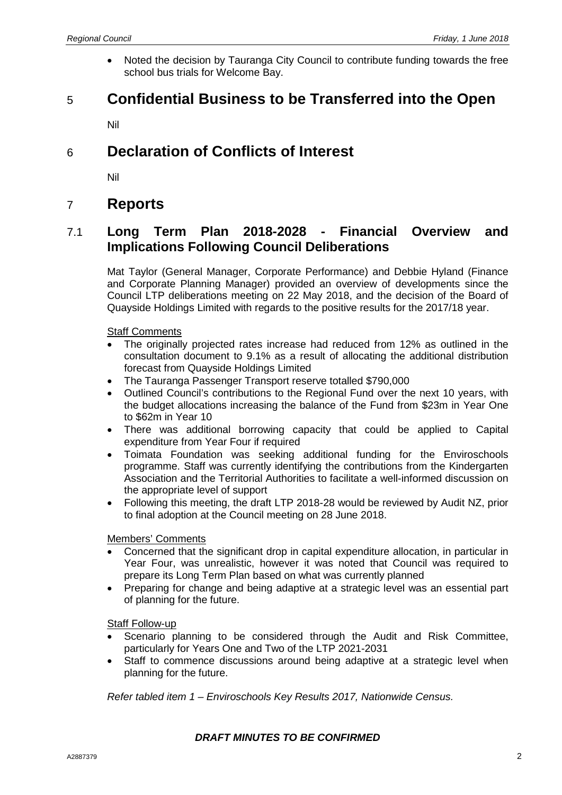• Noted the decision by Tauranga City Council to contribute funding towards the free school bus trials for Welcome Bay.

## 5 **Confidential Business to be Transferred into the Open**

Nil

## 6 **Declaration of Conflicts of Interest**

Nil

## 7 **Reports**

### 7.1 **Long Term Plan 2018-2028 - Financial Overview and Implications Following Council Deliberations**

Mat Taylor (General Manager, Corporate Performance) and Debbie Hyland (Finance and Corporate Planning Manager) provided an overview of developments since the Council LTP deliberations meeting on 22 May 2018, and the decision of the Board of Quayside Holdings Limited with regards to the positive results for the 2017/18 year.

#### Staff Comments

- The originally projected rates increase had reduced from 12% as outlined in the consultation document to 9.1% as a result of allocating the additional distribution forecast from Quayside Holdings Limited
- The Tauranga Passenger Transport reserve totalled \$790,000
- Outlined Council's contributions to the Regional Fund over the next 10 years, with the budget allocations increasing the balance of the Fund from \$23m in Year One to \$62m in Year 10
- There was additional borrowing capacity that could be applied to Capital expenditure from Year Four if required
- Toimata Foundation was seeking additional funding for the Enviroschools programme. Staff was currently identifying the contributions from the Kindergarten Association and the Territorial Authorities to facilitate a well-informed discussion on the appropriate level of support
- Following this meeting, the draft LTP 2018-28 would be reviewed by Audit NZ, prior to final adoption at the Council meeting on 28 June 2018.

#### Members' Comments

- Concerned that the significant drop in capital expenditure allocation, in particular in Year Four, was unrealistic, however it was noted that Council was required to prepare its Long Term Plan based on what was currently planned
- Preparing for change and being adaptive at a strategic level was an essential part of planning for the future.

#### Staff Follow-up

- Scenario planning to be considered through the Audit and Risk Committee, particularly for Years One and Two of the LTP 2021-2031
- Staff to commence discussions around being adaptive at a strategic level when planning for the future.

*Refer tabled item 1 – Enviroschools Key Results 2017, Nationwide Census.*

#### *DRAFT MINUTES TO BE CONFIRMED*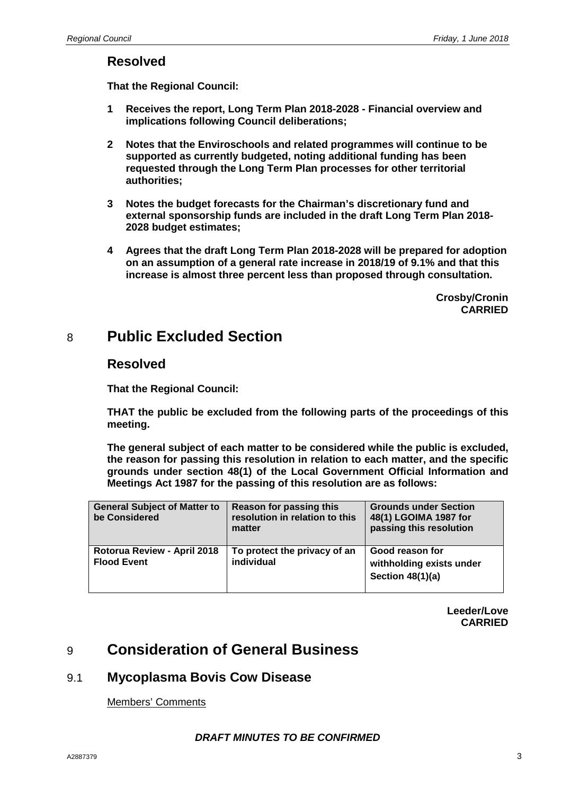### **Resolved**

**That the Regional Council:**

- **1 Receives the report, Long Term Plan 2018-2028 - Financial overview and implications following Council deliberations;**
- **2 Notes that the Enviroschools and related programmes will continue to be supported as currently budgeted, noting additional funding has been requested through the Long Term Plan processes for other territorial authorities;**
- **3 Notes the budget forecasts for the Chairman's discretionary fund and external sponsorship funds are included in the draft Long Term Plan 2018- 2028 budget estimates;**
- **4 Agrees that the draft Long Term Plan 2018-2028 will be prepared for adoption on an assumption of a general rate increase in 2018/19 of 9.1% and that this increase is almost three percent less than proposed through consultation.**

**Crosby/Cronin CARRIED**

## 8 **Public Excluded Section**

### **Resolved**

**That the Regional Council:**

**THAT the public be excluded from the following parts of the proceedings of this meeting.**

**The general subject of each matter to be considered while the public is excluded, the reason for passing this resolution in relation to each matter, and the specific grounds under section 48(1) of the Local Government Official Information and Meetings Act 1987 for the passing of this resolution are as follows:**

| <b>General Subject of Matter to</b><br>be Considered | Reason for passing this<br>resolution in relation to this<br>matter | <b>Grounds under Section</b><br>48(1) LGOIMA 1987 for<br>passing this resolution |
|------------------------------------------------------|---------------------------------------------------------------------|----------------------------------------------------------------------------------|
| Rotorua Review - April 2018<br><b>Flood Event</b>    | To protect the privacy of an<br>individual                          | Good reason for<br>withholding exists under<br>Section $48(1)(a)$                |

**Leeder/Love CARRIED**

# 9 **Consideration of General Business**

### 9.1 **Mycoplasma Bovis Cow Disease**

Members' Comments